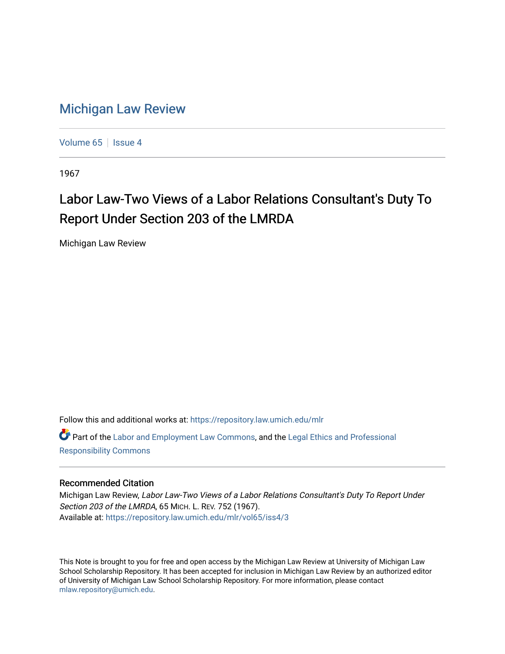## [Michigan Law Review](https://repository.law.umich.edu/mlr)

[Volume 65](https://repository.law.umich.edu/mlr/vol65) | [Issue 4](https://repository.law.umich.edu/mlr/vol65/iss4)

1967

## Labor Law-Two Views of a Labor Relations Consultant's Duty To Report Under Section 203 of the LMRDA

Michigan Law Review

Follow this and additional works at: [https://repository.law.umich.edu/mlr](https://repository.law.umich.edu/mlr?utm_source=repository.law.umich.edu%2Fmlr%2Fvol65%2Fiss4%2F3&utm_medium=PDF&utm_campaign=PDFCoverPages) 

Part of the [Labor and Employment Law Commons](http://network.bepress.com/hgg/discipline/909?utm_source=repository.law.umich.edu%2Fmlr%2Fvol65%2Fiss4%2F3&utm_medium=PDF&utm_campaign=PDFCoverPages), and the [Legal Ethics and Professional](http://network.bepress.com/hgg/discipline/895?utm_source=repository.law.umich.edu%2Fmlr%2Fvol65%2Fiss4%2F3&utm_medium=PDF&utm_campaign=PDFCoverPages)  [Responsibility Commons](http://network.bepress.com/hgg/discipline/895?utm_source=repository.law.umich.edu%2Fmlr%2Fvol65%2Fiss4%2F3&utm_medium=PDF&utm_campaign=PDFCoverPages) 

## Recommended Citation

Michigan Law Review, Labor Law-Two Views of a Labor Relations Consultant's Duty To Report Under Section 203 of the LMRDA, 65 MICH. L. REV. 752 (1967). Available at: [https://repository.law.umich.edu/mlr/vol65/iss4/3](https://repository.law.umich.edu/mlr/vol65/iss4/3?utm_source=repository.law.umich.edu%2Fmlr%2Fvol65%2Fiss4%2F3&utm_medium=PDF&utm_campaign=PDFCoverPages)

This Note is brought to you for free and open access by the Michigan Law Review at University of Michigan Law School Scholarship Repository. It has been accepted for inclusion in Michigan Law Review by an authorized editor of University of Michigan Law School Scholarship Repository. For more information, please contact [mlaw.repository@umich.edu.](mailto:mlaw.repository@umich.edu)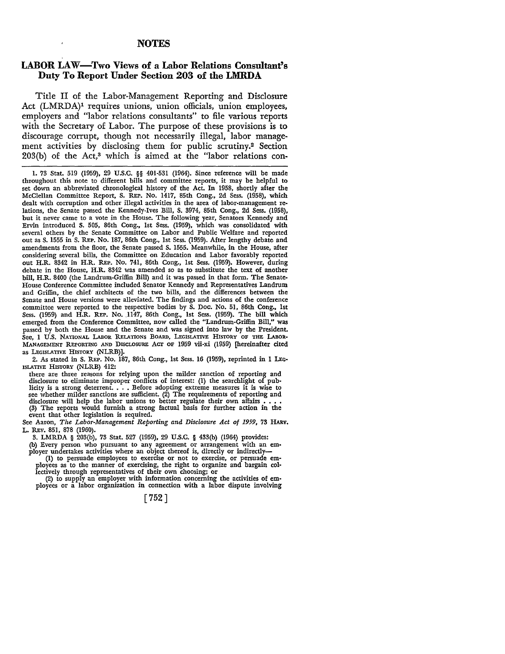## **LABOR LAW-Two Views of a Labor Relations Consultant's Duty To Report Under Section 203 of the LMRDA**

Title II of the Labor-Management Reporting and Disclosure Act (LMRDA)<sup>1</sup> requires unions, union officials, union employees, employers and "labor relations consultants" to file various reports with the Secretary of Labor. The purpose of these provisions is to discourage corrupt, though not necessarily illegal, labor management activities by disclosing them for public scrutiny.2 Section  $203(b)$  of the Act,<sup>3</sup> which is aimed at the "labor relations con-

2. As stated in S. REP. No. 187, 86th Cong., 1st Sess. 16 (1959), reprinted in **1** LEG-ISLATIVE HISTORY (NLRB) 412:

there are three reasons for relying upon the milder sanction of reporting and disclosure to eliminate improper conflicts of interest: (I) the searchlight of publicity is a strong deterrent. . . . Before adopting extreme measures it is wise to see whether milder sanctions are sufficient. (2) The requirements of reporting and disclosure will help the labor unions to better regulate their own affairs . . . . (3) The reports would furnish a strong factual basis for further action in the event that other legislation is required.

See Aaron, *The Labor-Management Reporting and Disclosure Act of 1959*, 73 HARV. L. REv. 851, 878 (1960).

3. LMRDA § 203(b), 73 Stat. 527 (1959), 29 U.S.C. § 433(b) (1964) provides:

(b) Every person who pursuant to any agreement or arrangement with an em-<br>ployer undertakes activities where an object thereof is, directly or indirectly--<br>(1) to persuade employees to exercise or not to exercise, or persu (!) to persuade employees to exercise or not to exercise, or persuade em- ployees as to the manner of exercising, the right to organize and bargain col-

lectively through representatives of their own choosing; or (2) to supply an employer with information concerning the activities of em- ployees or a labor organization in connection with a labor dispute involving

[ 752]

<sup>1.</sup> 73 Stat. 519 (1959), 29 U.S.C. §§ 401-531 (1964). Since reference will be made throughout this note to different bills and committee reports, it may be helpful to set down an abbreviated chronological history of the Act. In 1958, shortly after the McClellan Committee Report, S. REP. No. 1417, 85th Cong., 2d Sess. (1958), which dealt with corruption and other illegal activities in the area of labor-management relations, the Senate passed the Kennedy-Ives Bill, S. 3974, 85th Cong., 2d Sess. (1958), but it never came to a vote in the House. The following year, Senators Kennedy and Ervin introduced S. 505, 86th Cong., 1st Sess. (1959), which was consolidated with several others by the Senate Committee on Labor and Public Welfare and reported out as S. 1555 in S. REP. No. 187, 86th Cong., 1st Sess. (1959). After lengthy debate and amendments from the floor, the Senate passed S. 1555. Meanwhile, in the House, after considering several bills, the Committee on Education and Labor favorably reported out H.R. 8342 in H.R. REP. No. 741, 86th Cong., 1st Sess. (1959). However, during debate in the House, H.R. 8342 was amended so as to substitute the text of another bill, H.R. 8400 (the Landrum-Griffin Bill) and it was passed in that form. The Senate-House Conference Committee included Senator Kennedy and Representatives Landrum and Griffin, the chief architects of the two bills, and the differences between the Senate and House versions were alleviated. The findings and actions of the conference committee were reported to the respective bodies by S. Doc. No. 51, 86th Cong., 1st Sess. (1959) and H.R. REP. No. 1147, 86th Cong., 1st Sess. (1959). The bill which emerged from the Conference Committee, now called the "Landrum-Griffin Bill," was passed by both the House and the Senate and was signed into law by the President. See, 1 U.S. NATIONAL LABOR RELATIONS BOARD, LEGISLATIVE HISTORY OF THE LABOR-MANAGEMENT REPORTING AND DISCLOSURE ACT OF 1959 vii-xi (1959) [hereinafter cited as LEGISLATIVE HISTORY (NLRB)].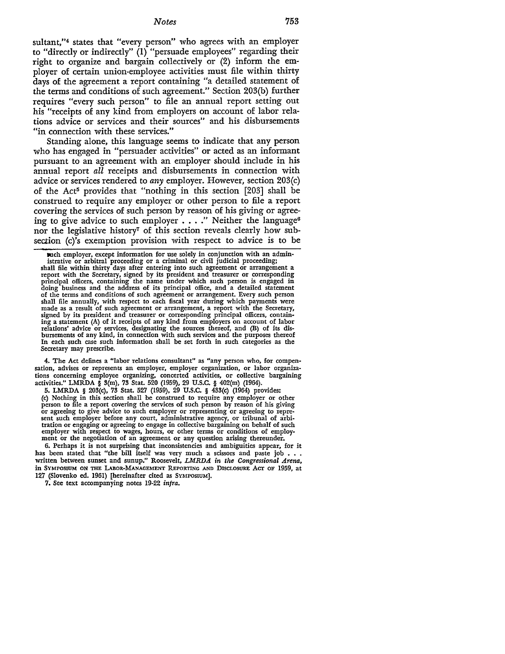sultant,"4 states that "every person" who agrees with an employer to "directly or indirectly" (1) "persuade employees" regarding their right to organize and bargain collectively or (2) inform the employer of certain union-employee activities must file within thirty days of the agreement a report containing "a detailed statement of the terms and conditions of such agreement." Section 203(b) further requires "every such person" to file an annual report setting out his "receipts of any kind from employers on account of labor relations advice or services and their sources" and his disbursements "in connection with these services."

Standing alone, this language seems to indicate that any person who has engaged in "persuader activities" or acted as an informant pursuant to an agreement with an employer should include in his annual report *all* receipts and disbursements in connection with advice or services rendered to *any* employer. However, section 203(c) of the Act<sup>5</sup> provides that "nothing in this section [203] shall be construed to require any employer or other person to file a report covering the services of such person by reason of his giving or agreeing to give advice to such employer  $\dots$ ." Neither the language<sup>6</sup> nor the legislative history<sup>7</sup> of this section reveals clearly how subsection (c)'s exemption provision with respect to advice is to be

4. The Act defines a "labor relations consultant" as "any person who, for compensation, advises or represents an employer, employer organization, or labor organizations concerning employee organizing, concerted activities, or collective bargaining activities." LMRDA § 3(m), 73 Stat. 520 (1959), 29 U.S.C. § 402(m) (1964).

5. LMRDA § 203(c), 73 Stat. 527 (1959), 29 U.S.C. § 433(c) (1964) provides: (c) Nothing in this section shall be construed to require any employer or other person to file a report covering the services of such person by reason of his giving or agreeing to give advice to such employer or representing or agreeing to represent such employer before any court, administrative agency, or tribunal of arbitration or engaging or agreeing to engage in collective bargaining on behalf of such employer with respect to wages, hours, or other terms or conditions of employment or the negotiation of an agreement or any question arising thereunder.

6. Perhaps it is not surprising that inconsistencies and ambiguities appear, for it has been stated that "the bill itself was very much a scissors and paste job . . . written between sunset and sunup." Roosevelt, *LMRDA in the Congressional Arena,*  in SYMPOSIUM ON THE l.ABOR•MANAGEMENT REPORTING AND DISCLOSURE ACT OF 1959, at 127 (Slovenko ed. 1961) [hereinafter cited as SYMPOSIUM].

7. See text accompanying notes 19-22 *infra.* 

**<sup>10</sup>** to employer, except information for use solely in conjunction with an administrative or arbitral proceeding or a criminal or civil judicial proceeding; shall file within thirty days after entering into such agreement or arrangement a report with the Secretary, signed by its president and treasurer or corresponding principal officers, containing the name under which such person is engaged in doing business and the address of its principal office, and a detailed statement of the terms and conditions of such agreement or arrangement. Every such person shall file annually, with respect to each fiscal year during which payments were made as a result of such agreement or arrangement, a report with the Secretary, signed by its president and treasurer or corresponding principal officers, contain-ing a statement (A) of it receipts of any kind from employers on account of labor relations' advice or services, designating the sources thereof, and (B) of its dis-bursements of any kind, in connection with such services and the purposes thereof In each such case such information shall be set forth in such categories as the Secretary may prescribe.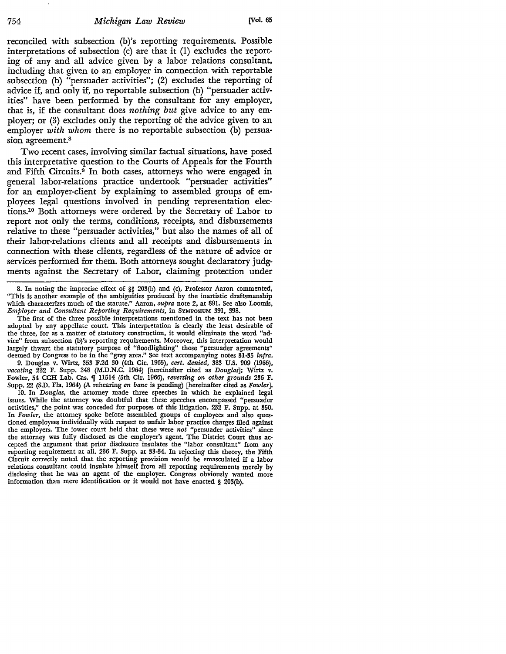reconciled with subsection (b)'s reporting requirements. Possible interpretations of subsection (c) are that it (I) excludes the reporting of any and all advice given by a labor relations consultant, including that given to an employer in connection with reportable subsection (b) "persuader activities"; (2) excludes the reporting of advice if, and only if, no reportable subsection (b) "persuader activities" have been performed by the consultant for any employer, that is, if the consultant does *nothing but* give advice to any employer; or (3) excludes only the reporting of the advice given to an employer *with whom* there is no reportable subsection (b) persuasion agreement.<sup>8</sup>

Two recent cases, involving similar factual situations, have posed this interpretative question to the Courts of Appeals for the Fourth and Fifth Circuits.9 In both cases, attorneys who were engaged **in**  general labor-relations practice undertook "persuader activities" for an employer-client by explaining to assembled groups of employees legal questions involved in pending representation elections.10 Both attorneys were ordered by the Secretary of Labor to report not only the terms, conditions, receipts, and disbursements relative to these "persuader activities," but also the names of all of their labor-relations clients and all receipts and disbursements **in**  connection with these clients, regardless of the nature of advice or services performed for them. Both attorneys sought declaratory judgments against the Secretary of Labor, claiming protection under

9. Douglas v. Wirtz, 353 F.2d 30 (4th Cir. 1965), *cert. denied,* 383 U.S. 909 (1966), *vacating* 232 F. Supp. 348 (M.D.N.C. 1964) [hereinafter cited as *Douglas];* Wirtz v. Fowler, 54 CCH Lab. Cas. 1f 11514 (5th Cir. 1966), *reversing on other grounds* 236 F. Supp. 22 (S.D. Fla. 1964) (A rehearing *en bane* is pending) [hereinafter cited as *Fowler].* 

10. In *Douglas,* the attorney made three speeches in which he explained legal issues. While the attorney was doubtful that these speeches encompassed "persuader activities," the point was conceded for purposes of this litigation. 232 F. Supp. at 350. In *Fowler*, the attorney spoke before assembled groups of employees and also questioned employees individually with respect to unfair labor practice charges filed against the employers. The lower court held that these were *not* "persuader activities" since the attorney was fully disclosed as the employer's agent. The District Court thus accepted the argument that prior disclosure insulates the "labor consultant" from any reporting requirement at all. 236 F. Supp. at 33-34. In rejecting this theory, the Fifth Circuit correctly noted that the reporting provision would be emasculated if a labor relations consultant could insulate himself from all reporting requirements merely by disclosing that he was an agent of the employer. Congress obviously wanted more information than mere identification or it would not have enacted § 203(b).

<sup>8.</sup> In noting the imprecise effect of §§ 203(b) and (c), Professor Aaron commented, "This is another example of the ambiguities produced by the inartistic draftsmanship which characterizes much of the statute." Aaron, *supra* note 2, at 891. See also Loomis, *Employer and Consultant Reporting Requirements,* in SYMPOSIUM 391, 398.

The first of the three possible interpretations mentioned in the text has not been adopted by any appellate court. This interpretation is clearly the least desirable of the three, for as a matter of statutory construction, it would eliminate the word "advice" from subsection (b)'s reporting requirements. Moreover, this interpretation would largely thwart the statutory purpose of "floodlighting" those "persuader agreements" deemed by Congress to be in the "gray area." See text accompanying notes 31-35 *infra.*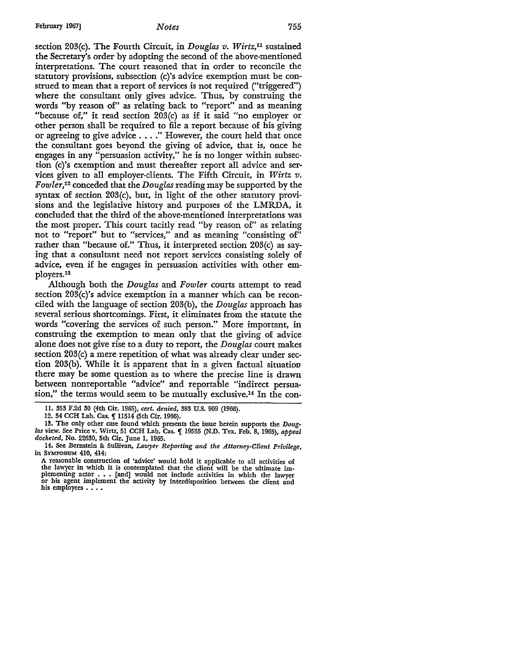section 203(c). The Fourth Circuit, in *Douglas v. Wirtz*,<sup>11</sup> sustained the Secretary's order by adopting the second of the above-mentioned interpretations. The court reasoned that in order to reconcile the statutory provisions, subsection (c)'s advice exemption must be construed to mean that a report of services is not required ("triggered") where the consultant only gives advice. Thus, by construing the words "by reason of" as relating back to "report" and as meaning "because of," it read section 203(c) as if it said "no employer or other person shall be required to file a report because of his giving or agreeing to give advice .... " However, the court held that once the consultant goes beyond the giving of advice, that is, once he engages in any "persuasion activity," he is no longer within subsection (c)'s exemption and must thereafter report all advice and services given to all employer-clients. The Fifth Circuit, in *Wirtz v. Fowler,12* conceded that the *Douglas* reading may be supported by the syntax of section 203(c), but, in light of the other statutory provisions and the legislative history and purposes of the LMRDA, it concluded that the third of the above-mentioned interpretations was the most proper. This court tacitly read "by reason of" as relating not to "report" but to "services," and as meaning "consisting of" rather than "because of." Thus, it interpreted section 203(c) as saying that a consultant need not report services consisting solely of advice, even if he engages in persuasion activities with other employers.13

Although both the *Douglas* and *Fowler* courts attempt to read section 203(c)'s advice exemption in a manner which can be reconciled with the language of section 203(b), the *Douglas* approach has several serious shortcomings. First, it eliminates from the statute the words "covering the services of such person." More important, in construing the exemption to mean only that the giving of advice alone does not give rise to a duty to report, the *Douglas* court makes section 203(c) a mere repetition of what was already clear under section 203(b). While it is apparent that in a given factual situation there may be some question as to where the precise line is drawn between nonreportable "advice" and reportable "indirect persuasion," the terms would seem to be mutually exclusive.14 In the con-

<sup>11. 353</sup> F.2d 30 (4th Cir. 1965), *cert. denied,* 383 U.S. 909 (1966).

<sup>12. 54</sup> CCH Lab. Cas.  $\parallel$  11514 (5th Cir. 1966).

<sup>13.</sup> The only other case found which presents the issue herein supports the *Doug*las view. See Price v. Wirtz, 51 CCH Lab. Cas. **1** 19555 (N.D. Tex. Feb. 8, 1965), *appeal docketed,* No. 22630, 5th Cir. June 1, 1965.

<sup>14.</sup> See Bernstein 8: Sullivan, *Lawyer Reporting and the Attorney-Client Privilege,*  in SYMPOSIUM 410, 414:

A reasonable construction of 'advice' would hold it applicable to all activities of the lawyer in which it is contemplated that the client will be the ultimate implementing actor • • • [and] would not include activities in which the lawyer or his agent implement the activity by interdisposition between the client and or his agent implement the activity by interdisposition between the client and his employees . . . .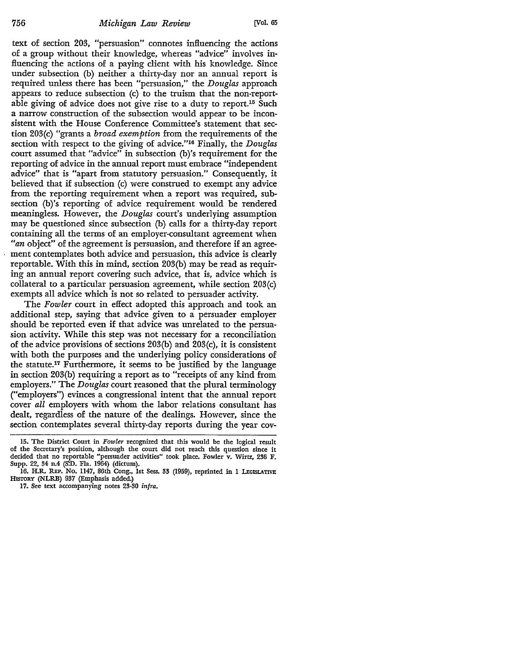text of section 203, "persuasion" connotes influencing the actions of a group without their knowledge, whereas "advice" involves influencing the actions of a paying client with his knowledge. Since under subsection (b) neither a thirty-day nor an annual report is required unless there has been "persuasion," the *Douglas* approach appears to reduce subsection (c) to the truism that the non-reportable giving of advice does not give rise to a duty to report.15 Such a narrow construction of the subsection would appear to be inconsistent with the House Conference Committee's statement that section 203(c) "grants a *broad exemption* from the requirements of the section with respect to the giving of advice."16 Finally, the *Douglas*  court assumed that "advice" in subsection (b)'s requirement for the reporting of advice in the annual report must embrace "independent advice" that is "apart from statutory persuasion." Consequently, it believed that if subsection (c) were construed to exempt any advice from the reporting requirement when a report was required, subsection (b)'s reporting of advice requirement would be rendered meaningless. However, the *Douglas* court's underlying assumption may be questioned since subsection (b) calls for a thirty-day report containing all the terms of an employer-consultant agreement when *"an* object" of the agreement is persuasion, and therefore if an agreement contemplates both advice and persuasion, this advice is clearly reportable. With this in mind, section 203(b) may be read as requiring an annual report covering such advice, that is, advice which is collateral to a particular persuasion agreement, while section 203(c) exempts all advice which is not so related to persuader activity.

The *Fowler* court in effect adopted this approach and took an additional step, saying that advice given to a persuader employer should be reported even if that advice was unrelated to the persuasion activity. While this step was not necessary for a reconciliation of the advice provisions of sections 203(b) and 203(c), it is consistent with both the purposes and the underlying policy considerations of the statute.17 Furthermore, it seems to be justified by the language in section 203(b) requiring a report as to "receipts of any kind from employers." The *Douglas* court reasoned that the plural terminology ("employers") evinces a congressional intent that the annual report cover *all* employers with whom the labor relations consultant has dealt, regardless of the nature of the dealings. However, since the section contemplates several thirty-day reports during the year cov-

<sup>15.</sup> The District Court in *Fowler* recognized that this would be the logical result of the Secretary's position, although the court did not reach this question since it decided that no reportable "persuader activities" took place. Fowler v. Wirtz, 236 F. Supp. 22, 34 n.4 (S!D. Fla. 1964) (dictum).

<sup>16.</sup> H.R. REP. No. 1147, 86th Cong., 1st Sess. 33 (1959), reprinted in 1 LEGISLATIVE HISTORY (NLRB) 937 (Emphasis added.)

<sup>17.</sup> See text accompanying notes 23-30 infra.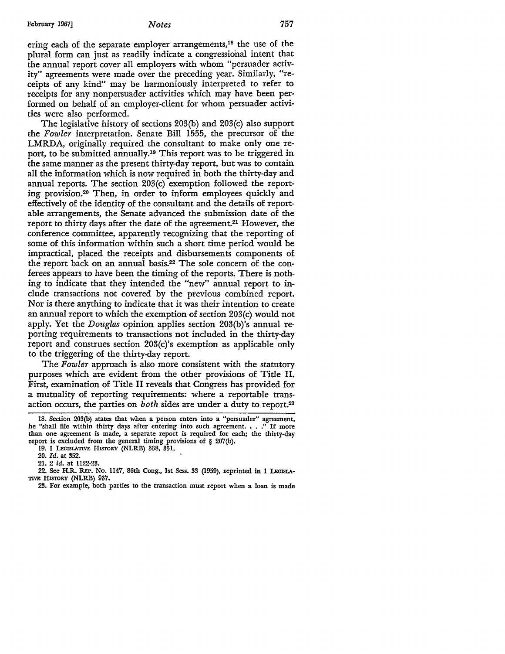ering each of the separate employer arrangements,18 the use of the plural form can just as readily indicate a congressional intent that the annual report cover all employers with whom "persuader activity" agreements were made over the preceding year. Similarly, "receipts of any kind" may be harmoniously interpreted to refer to receipts for any nonpersuader activities which may have been performed on behalf of an employer-client for whom persuader activities were also performed.

The legislative history of sections 203(b) and 203(c) also support the *Fowler* interpretation. Senate Bill 1555, the precursor of the **LMRDA,** originally required the consultant to make only one report, to be submitted annually.19 This report was to be triggered in the same manner as the present thirty-day report, but was to contain all the information which is now required in both the thirty-day and annual reports. The section 203(c) exemption followed the reporting provision.20 Then, in order to inform employees quickly and effectively of the identity of the consultant and the details of reportable arrangements, the Senate advanced the submission date of the report to thirty days after the date of the agreement.<sup>21</sup> However, the conference committee, apparently recognizing that the reporting of some of this information within such a short time period would be impractical, placed the receipts and disbursements components of the report back on an annual basis.22 The sole concern of the conferees appears to have been the timing of the reports. There is nothing to indicate that they intended the "new" annual report to include transactions not covered by the previous combined report. Nor is there anything to indicate that it was their intention to create an annual report to which the exemption of section 203(c) would not apply. Yet the *Douglas* opinion applies section 203(b)'s annual reporting requirements to transactions not included in the thirty-day report and construes section 203(c)'s exemption as applicable only to the triggering of the thirty-day report.

The *Fowler* approach is also more consistent with the statutory purposes which are evident from the other provisions of Title II. First, examination of Title II reveals that Congress has provided for a mutuality of reporting requirements: where a reportable transaction occurs, the parties on *both* sides are under a duty to report.<sup>23</sup>

<sup>18.</sup> Section 203(b) states that when a person enters into a "persuader" agreement, he "shall file within thirty days after entering into such agreement. • • ." If more than one agreement is made, a separate report is required for each; the thirty-day report is excluded from the general timing provisions of § 207(b).

<sup>19. 1</sup> LEGISLATIVE HISTORY (NLRB) 338, 351.

<sup>20.</sup> *Id.* at 352.

<sup>21. 2</sup> id. at 1122-23.

<sup>22.</sup> See H.R. REP. No. 1147, 86th Cong., 1st Sess. 33 (1959), reprinted in I LEGISLA-TIVE HISTORY (NLRB) 937.

<sup>23.</sup> For example, both parties to the transaction must report when a loan is made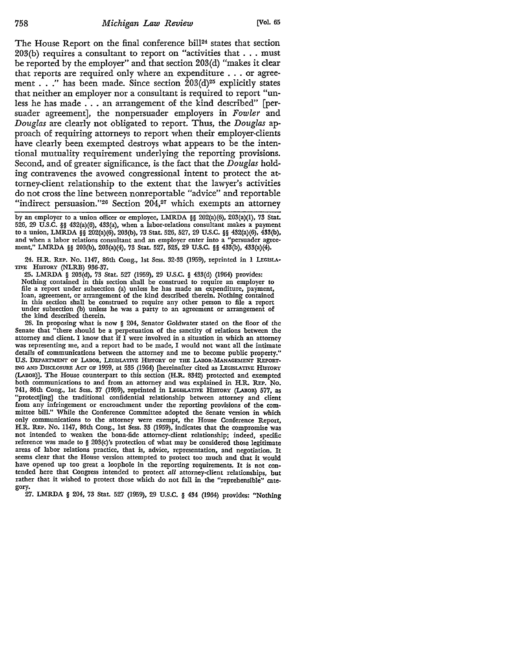The House Report on the final conference bill<sup>24</sup> states that section  $203(b)$  requires a consultant to report on "activities that  $\dots$  must be reported by the employer" and that section 203(d) "makes it clear that reports are required only where an expenditure ... or agreement . . ." has been made. Since section  $203(d)^{25}$  explicitly states that neither an employer nor a consultant is required to report "unless he has made . . . an arrangement of the kind described" [persuader agreement], the nonpersuader employers in *Fowler* and *Douglas* are clearly not obligated to report. Thus, the *Douglas* approach of requiring attorneys to report when their employer-clients have clearly been exempted destroys what appears to be the intentional mutuality requirement underlying the reporting provisions. Second, and of greater significance, is the fact that the *Douglas* holding contravenes the avowed congressional intent to protect the attorney-client relationship to the extent that the lawyer's activities do not cross the line between nonreportable "advice" and reportable "indirect persuasion."<sup>26</sup> Section  $204<sup>27</sup>$  which exempts an attorney

25. LMRDA § 203(d), 73 Stat. 527 (1959), 29 U.S.C. § 433(d) (1964) provides: Nothing contained in this section shall be construed to require an employer to file a report under subsection (a) unless he has made an expenditure, payment, loan, agreement, or arrangement of the kind described therein. Nothing contained in this section shall be construed to require any other person to file a report under subsection (b) unless he was a party to an agreement or arrangement of the kind described therein.

26. In proposing what is now § 204, Senator Goldwater stated on the floor of the Senate that "there should be a perpetuation of the sanctity of relations between the attorney and client. I know that if  $\tilde{I}$  were involved in a situation in which an attorney was representing me, and a report had to be made, I would not want all the intimate details of communications between the attorney and me to become public property." U.S. DEPARTMENT OF LABOR, LEGISLATIVE HISTORY OF THE LABOR-MANAGEMENT REPORT· ING AND DISCLOSURE Acr OF 1959, at 535 (1964) [hereinafter cited as LEGISLATIVE HISTORY (LABOR)]. The House counterpart to this section (H.R. 8342) protected and exempted both communications to and from an attorney and was explained in H.R. REP. No. 741, 86th Cong., 1st Sess. 37 (1959), reprinted in LEGISLATIVE HISTORY (LABOR) 577, as "protect[ing] the traditional confidential relationship between attorney and client from any infringement or encroachment under the reporting provisions of the committee bill." While the Conference Committee adopted the Senate version in which only communications to the attorney were exempt, the House Conference Report, H.R. REP. No. 1147, 86th Cong., 1st Sess. 33 (1959), indicates that the compromise was not intended to weaken the bona-fide attorney-client relationship; indeed, specific reference was made to § 203(c)'s protection of what may be considered those legitimate areas of labor relations practice, that is, advice, representation, and negotiation. It seems clear that the House version attempted to protect too much and that it would have opened up too great a loophole in the reporting requirements. It is not contended here that Congress intended to protect *all* attorney-client relationships, but rather that it wished to protect those which do not fall in the "reprehensible" category.

27. LMRDA § 204, 73 Stat. 527 (1959), 29 U.S.C. § 434 (1964) provides: "Nothing

by an employer to a union officer or employee, LMRDA §§ 202(a)(6), 203(a)(l), 73 Stat. 526, 29 U.S.C. §§ 432(a)(6), 433(a), when a labor-relations consultant makes a payment to a union, LMRDA §§ 202(a)(6), 203(b), 73 Stat. 526, 527, 29 U.S.C. §§ 432(a)(6), 433(b), and when a labor relations consultant and an employer enter into a "persuader agreement," LMRDA §§ 203(b), 203(a)(4), 73 Stat. 527, 525, 29 U.S.C. §§ 433(b), 433(a)(4).

<sup>24.</sup> H.R. REP. No. 1147, 86th Cong., 1st Sess. 32-33 (1959), reprinted in 1 LEGISLA· TIVE HISTORY (NLRB) 936-37.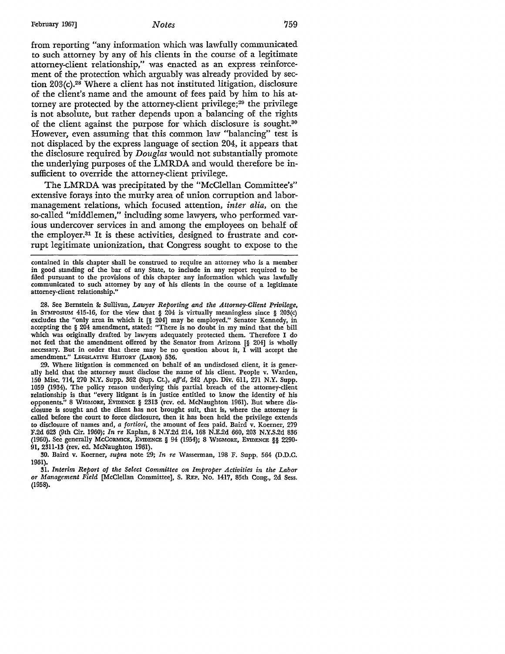from reporting "any information which was lawfully communicated to such attorney by any of his clients in the course of a legitimate attorney-client relationship," was enacted as an express reinforcement of the protection which arguably was already provided by section 203(c).28 Where a client has not instituted litigation, disclosure of the client's name and the amount of fees paid by him to his attorney are protected by the attorney-client privilege;<sup>29</sup> the privilege is not absolute, but rather depends upon a balancing of the rights of the client against the purpose for which disclosure is sought.30 However, even assuming that this common law "balancing" test is not displaced by the express language of section 204, it appears that the disclosure required by *Douglas* would not substantially promote the underlying purposes of the LMRDA and would therefore be insufficient to override the attorney-client privilege.

The LMRDA was precipitated by the "McClellan Committee's" extensive forays into the murky area of union corruption and labormanagement relations, which focused attention, *inter alia,* on the so-called "middlemen," including some lawyers, who performed various undercover services in and among the employees on behalf of the employer.31 It is these activities, designed to frustrate and corrupt legitimate unionization, that Congress sought to expose to the

contained in this chapter shall be construed to require an attorney who is a member in good standing of the bar of any State, to include in any report required to be filed pursuant to the provisions of this chapter any information which was lawfully communicated to such attorney by any of his clients in the course of a legitimate attorney-client relationship."

28. See Bernstein &: Sullivan, *Lawyer Reporting and the Attorney-Client Privilege,*  in SYMPOSIUM 415-16, for the view that  $\S$  204 is virtually meaningless since  $\S$  203(c) excludes the "only area in which it [§ 204] may be employed." Senator Kennedy, in accepting the § 204 amendment, stated: "There is no doubt in my mind that the bill which was originally drafted by lawyers adequately protected them. Therefore I do not feel that the amendment offered by the Senator from Arizona [§ 204] is wholly necessary. But in order that there may be no question about it, I will accept the amendment." LEGISLATIVE HISTORY {LABOR) 536.

29. Where litigation is commenced on behalf of an undisclosed client, it is generally held that the attorney must disclose the name of his client. People v. Warden, 150 Misc. 714, 270 N.Y. Supp. 362 (Sup. Ct.), *afj'd,* 242 App. Div. 611, 271 N.Y. Supp. 1059 (1934). The policy reason underlying this partial breach of the attorney-client relationship is that "every litigant is in justice entitled to know the identity of his opponents." 8 WIGMORE, EVIDENCE § 2313 (rev. ed. McNaughton 1961). But where disclosure is sought and the client has not brought suit, that is, where the attorney is called before the court to force disclosure, then it has been held the privilege extends to disclosure of names and, *a fortiori,* the amount of fees paid. Baird v. Koerner, 279 F.2d 623 (9th Cir. 1960); *In re* Kaplan, 8 N.Y.2d 214, 168 N.E.2d 660, 203 N.Y.S.2d 836 (1960). See generally McCORMICK, EVIDENCE § 94 (1954); 8 WIGMORE, EVIDENCE §§ 2290- 91, 2311-13 (rev; ed. McNaughton 1961).

30. Baird v. Koerner, *supra* note 29; *In re* Wasserman, 198 F. Supp. 564 (D.D.C. 1961).

31. *Interim Report of the Select Committee on Improper Activities in the Labor or Management Field* [McClellan Committee], S. REP. No. 1417, 85th Cong., 2d Sess. (1958).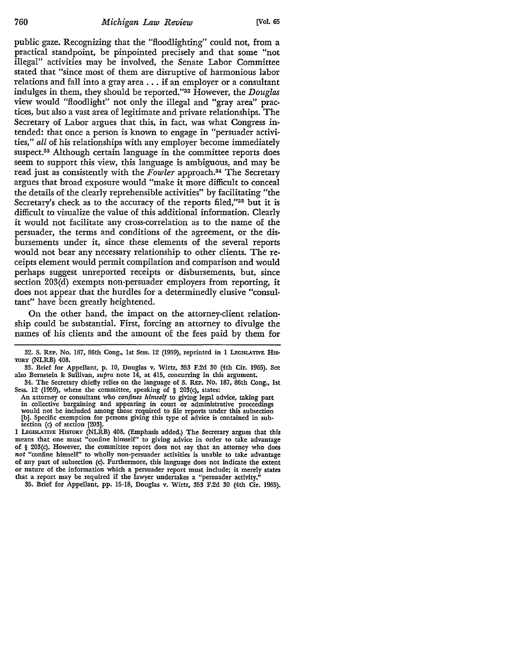public gaze. Recognizing that the "floodlighting" could not, from a practical standpoint, be pinpointed precisely and that some "not illegal" activities may be involved, the Senate Labor Committee stated that "since most of them are disruptive of harmonious labor relations and fall into a gray area ... if an employer or a consultant indulges in them, they should be reported."32 However, the *Douglas*  view would "floodlight" not only the illegal and "gray area" practices, but also a vast area of legitimate and private relationships. The Secretary of Labor argues that this, in fact, was what Congress intended: that once a person is known to engage in "persuader activities," *all* of his relationships with any employer become immediately suspect.33 Although certain language in the committee reports does seem to support this view, this language is ambiguous, and may be read just as consistently with the *Fowler* approach.34 The Secretary argues that broad exposure would "make it more difficult to conceal the details of the clearly reprehensible activities" by facilitating "the Secretary's check as to the accuracy of the reports filed,"35 but it is difficult to visualize the value of this additional information. Clearly it would not facilitate any cross-correlation as to the name of the persuader, the terms and conditions of the agreement, or the disbursements under it, since these elements of the several reports would not bear any necessary relationship to other clients. The receipts element would permit compilation and comparison and would perhaps suggest unreported receipts or disbursements, but, since section 203(d) exempts non-persuader employers from reporting, it does not appear that the hurdles for a determinedly elusive "consultant" have been greatly heightened.

On the other hand, the impact on the attorney-client relationship could be substantial. First, forcing an attorney to divulge the names of his clients and the amount of the fees paid by them for

<sup>32.</sup> s. REP. No. 187, 86th Cong., 1st Sess. 12 (1959), reprinted in 1 LEGISLATIVE **HIS-**TORY (NLRB) 408.

<sup>33.</sup> Brief for Appellant, p. 10, Douglas v. Wirtz, 353 F.2d 30 (4th Cir. 1965). See also Bernstein & SuIIivan, *supra* note 14, at 415, concurring in this argument.

<sup>34.</sup> The Secretary chiefly relies on the language of S. REP. No. 187, 86th Cong., 1st Sess. 12 (1959), where the committee, speaking of § 203(c), states:

An attorney or consultant who *confines himself* to giving legal advice, taking part in collective bargaining and appearing in court or administrative proceedings would not be included among those required to file reports section (c) of section [203].

l LEGISLATIVE HISTORY (NLRB) 408. (Emphasis added.) The Secretary argues that this means that one must "confine himself" to giving advice in order to take advantage of § 203(c). However, the committee report does not say that an attorney who does *not* "confine himself" to wholly non-persuader activities is unable to take advantage of any part of subsection (c). Furthermore, this language does not indicate the extent or nature of the information which a persuader report must include; it merely states that a report may be required if the lawyer undertakes a "persuader activity."

<sup>35.</sup> Brief for Appellant, pp. 15-18, Douglas v. Wirtz, 353 F.2d 30 (4th Cir. 1965).